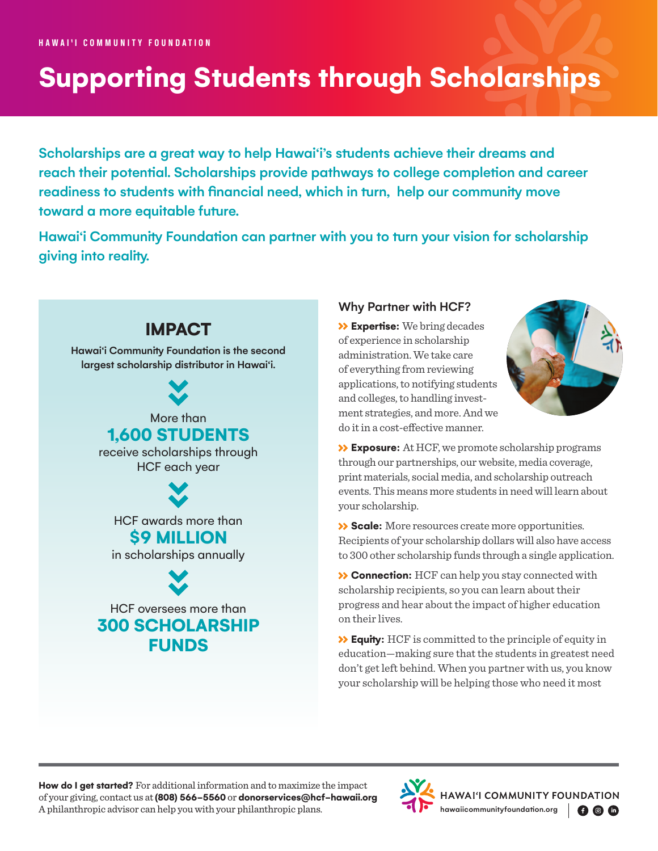# **Supporting Students through Scholarships**

Scholarships are a great way to help Hawai'i's students achieve their dreams and reach their potential. Scholarships provide pathways to college completion and career readiness to students with financial need, which in turn, help our community move toward a more equitable future.

Hawai'i Community Foundation can partner with you to turn your vision for scholarship giving into reality.



## Why Partner with HCF?

 **Expertise:** We bring decades of experience in scholarship administration. We take care of everything from reviewing applications, to notifying students and colleges, to handling investment strategies, and more. And we do it in a cost-effective manner.



 **Exposure:** At HCF, we promote scholarship programs through our partnerships, our website, media coverage, print materials, social media, and scholarship outreach events. This means more students in need will learn about your scholarship.

 **Scale:** More resources create more opportunities. Recipients of your scholarship dollars will also have access to 300 other scholarship funds through a single application.

 **Connection:** HCF can help you stay connected with scholarship recipients, so you can learn about their progress and hear about the impact of higher education on their lives.

 **Equity:** HCF is committed to the principle of equity in education—making sure that the students in greatest need don't get left behind. When you partner with us, you know your scholarship will be helping those who need it most

**How do I get started?** For additional information and to maximize the impact of your giving, contact us at **(808) 566-5560** or **[donorservices@hcf-hawaii.org](mailto:donorservices%40hcf-hawaii.org?subject=)** A philanthropic advisor can help you with your philanthropic plans.